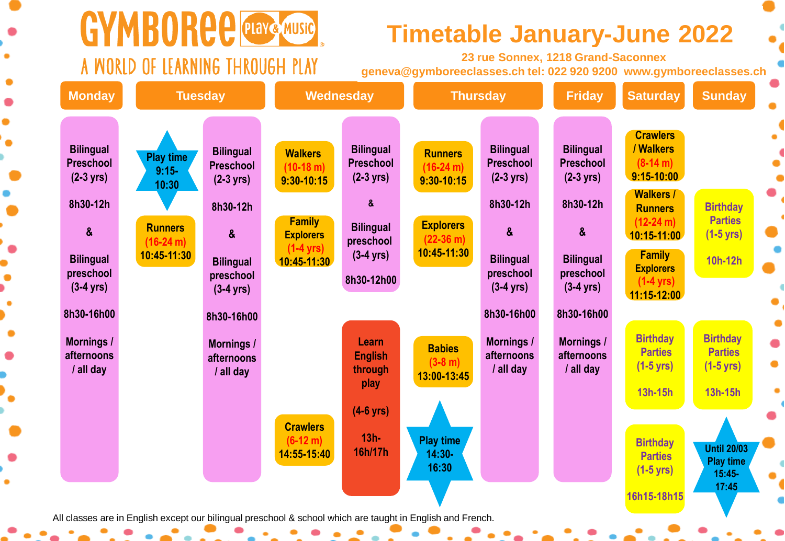

# GYMBORCE PLAYE MUSIC A WORLD OF LEARNING THROUGH PLAY

## **Fimetable January-June 2022 •**

**23 rue Sonnex, 1218 Grand-Saconnex geneva@gymboreeclasses.ch tel: 022 920 9200 www.gymboreeclasses.ch**

| Monday                                               | <b>Tuesday</b>                                                                                             |                                                      | Wednesday                                       |                                                             | <b>Thursday</b>                                 |                                              | <b>Friday</b>                                        | <b>Saturday</b>                                                             | <b>Sunday</b>                                                       |  |
|------------------------------------------------------|------------------------------------------------------------------------------------------------------------|------------------------------------------------------|-------------------------------------------------|-------------------------------------------------------------|-------------------------------------------------|----------------------------------------------|------------------------------------------------------|-----------------------------------------------------------------------------|---------------------------------------------------------------------|--|
| <b>Bilingual</b><br>Preschool<br>$(2-3 \text{ yrs})$ | <b>Play time</b><br>$9:15-$<br>10:30                                                                       | <b>Bilingual</b><br>Preschool<br>$(2-3 \text{ yrs})$ | <b>Walkers</b><br>$(10-18 m)$<br>$9:30 - 10:15$ | <b>Bilingual</b><br><b>Preschool</b><br>$(2-3 \text{ yrs})$ | <b>Runners</b><br>$(16-24 m)$<br>$9:30 - 10:15$ | <b>Bilingual</b><br>Preschool<br>$(2-3$ yrs) | <b>Bilingual</b><br>Preschool<br>$(2-3 \text{ yrs})$ | <b>Crawlers</b><br>/ Walkers<br>$(8-14 m)$<br>$9:15 - 10:00$                |                                                                     |  |
| 8h30-12h<br>$\boldsymbol{\alpha}$                    | <b>Runners</b><br>$(16-24 m)$                                                                              | 8h30-12h<br>$\boldsymbol{\alpha}$                    | <b>Family</b><br><b>Explorers</b>               | &<br><b>Bilingual</b><br>preschool                          | <b>Explorers</b><br>$(22-36)$ m)                | 8h30-12h<br>$\boldsymbol{\alpha}$            | 8h30-12h<br>$\boldsymbol{\alpha}$                    | <b>Walkers /</b><br><b>Runners</b><br>$(12-24 m)$<br>10:15-11:00            | <b>Birthday</b><br><b>Parties</b><br>$(1-5 \text{ yrs})$            |  |
| <b>Bilingual</b><br>preschool<br>$(3-4 \text{ yrs})$ | 10:45-11:30                                                                                                | <b>Bilingual</b><br>preschool<br>$(3-4$ yrs)         | $(1-4$ yrs)<br>$10:45 - 11:30$                  | $(3-4 \text{ yrs})$<br>8h30-12h00                           | 10:45-11:30                                     | <b>Bilingual</b><br>preschool<br>$(3-4$ yrs) | <b>Bilingual</b><br>preschool<br>$(3-4 \text{ yrs})$ | <b>Family</b><br><b>Explorers</b><br>$(1-4 \text{ yrs})$<br>$11:15 - 12:00$ | 10h-12h                                                             |  |
| 8h30-16h00                                           |                                                                                                            | 8h30-16h00                                           |                                                 |                                                             |                                                 | 8h30-16h00                                   | 8h30-16h00                                           |                                                                             |                                                                     |  |
| <b>Mornings /</b><br>afternoons<br>/ all day         |                                                                                                            | <b>Mornings /</b><br>afternoons<br>/ all day         |                                                 | Learn<br><b>English</b><br>through<br>play                  | <b>Babies</b><br>$(3-8 m)$<br>13:00-13:45       | <b>Mornings /</b><br>afternoons<br>/ all day | <b>Mornings /</b><br>afternoons<br>/ all day         | <b>Birthday</b><br><b>Parties</b><br>$(1-5$ yrs)<br>13h-15h                 | <b>Birthday</b><br><b>Parties</b><br>$(1-5 \text{ yrs})$<br>13h-15h |  |
|                                                      |                                                                                                            |                                                      | <b>Crawlers</b><br>$(6-12 m)$                   | $(4-6$ yrs)<br>$13h -$                                      | <b>Play time</b>                                |                                              |                                                      |                                                                             |                                                                     |  |
|                                                      |                                                                                                            |                                                      | 14:55-15:40                                     | 16h/17h                                                     | $14:30-$<br>16:30                               |                                              |                                                      | <b>Birthday</b><br><b>Parties</b><br>$(1-5$ yrs)                            | <b>Until 20/03</b><br><b>Play time</b><br>15:45-<br>17:45           |  |
|                                                      | All classes are in English except our bilingual preschool & school which are taught in English and French. |                                                      |                                                 |                                                             |                                                 |                                              |                                                      | 16h15-18h15                                                                 |                                                                     |  |